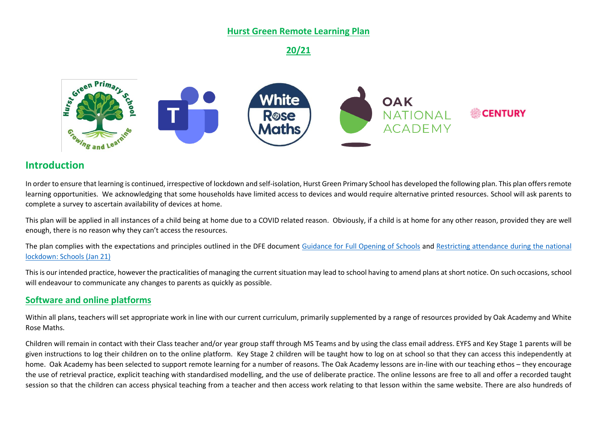### **Hurst Green Remote Learning Plan**

**20/21**



## **Introduction**

In order to ensure that learning is continued, irrespective of lockdown and self-isolation, Hurst Green Primary School has developed the following plan. This plan offers remote learning opportunities. We acknowledging that some households have limited access to devices and would require alternative printed resources. School will ask parents to complete a survey to ascertain availability of devices at home.

This plan will be applied in all instances of a child being at home due to a COVID related reason. Obviously, if a child is at home for any other reason, provided they are well enough, there is no reason why they can't access the resources.

The plan complies with the expectations and principles outlined in the DFE document [Guidance for Full Opening of Schools](https://www.gov.uk/government/publications/actions-for-schools-during-the-coronavirus-outbreak/guidance-for-full-opening-schools#res) and [Restricting attendance during the national](https://assets.publishing.service.gov.uk/government/uploads/system/uploads/attachment_data/file/950510/School_national_restrictions_guidance.pdf)  [lockdown: Schools \(Jan 21\)](https://assets.publishing.service.gov.uk/government/uploads/system/uploads/attachment_data/file/950510/School_national_restrictions_guidance.pdf)

This is our intended practice, however the practicalities of managing the current situation may lead to school having to amend plans at short notice. On such occasions, school will endeavour to communicate any changes to parents as quickly as possible.

### **Software and online platforms**

Within all plans, teachers will set appropriate work in line with our current curriculum, primarily supplemented by a range of resources provided by Oak Academy and White Rose Maths.

Children will remain in contact with their Class teacher and/or year group staff through MS Teams and by using the class email address. EYFS and Key Stage 1 parents will be given instructions to log their children on to the online platform. Key Stage 2 children will be taught how to log on at school so that they can access this independently at home. Oak Academy has been selected to support remote learning for a number of reasons. The Oak Academy lessons are in-line with our teaching ethos – they encourage the use of retrieval practice, explicit teaching with standardised modelling, and the use of deliberate practice. The online lessons are free to all and offer a recorded taught session so that the children can access physical teaching from a teacher and then access work relating to that lesson within the same website. There are also hundreds of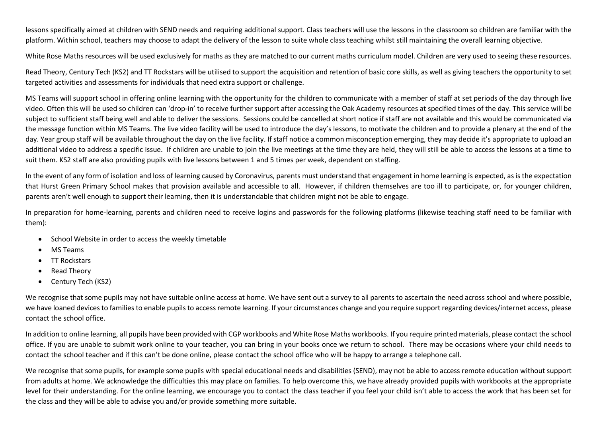lessons specifically aimed at children with SEND needs and requiring additional support. Class teachers will use the lessons in the classroom so children are familiar with the platform. Within school, teachers may choose to adapt the delivery of the lesson to suite whole class teaching whilst still maintaining the overall learning objective.

White Rose Maths resources will be used exclusively for maths as they are matched to our current maths curriculum model. Children are very used to seeing these resources.

Read Theory, Century Tech (KS2) and TT Rockstars will be utilised to support the acquisition and retention of basic core skills, as well as giving teachers the opportunity to set targeted activities and assessments for individuals that need extra support or challenge.

MS Teams will support school in offering online learning with the opportunity for the children to communicate with a member of staff at set periods of the day through live video. Often this will be used so children can 'drop-in' to receive further support after accessing the Oak Academy resources at specified times of the day. This service will be subject to sufficient staff being well and able to deliver the sessions. Sessions could be cancelled at short notice if staff are not available and this would be communicated via the message function within MS Teams. The live video facility will be used to introduce the day's lessons, to motivate the children and to provide a plenary at the end of the day. Year group staff will be available throughout the day on the live facility. If staff notice a common misconception emerging, they may decide it's appropriate to upload an additional video to address a specific issue. If children are unable to join the live meetings at the time they are held, they will still be able to access the lessons at a time to suit them. KS2 staff are also providing pupils with live lessons between 1 and 5 times per week, dependent on staffing.

In the event of any form of isolation and loss of learning caused by Coronavirus, parents must understand that engagement in home learning is expected, as is the expectation that Hurst Green Primary School makes that provision available and accessible to all. However, if children themselves are too ill to participate, or, for younger children, parents aren't well enough to support their learning, then it is understandable that children might not be able to engage.

In preparation for home-learning, parents and children need to receive logins and passwords for the following platforms (likewise teaching staff need to be familiar with them):

- School Website in order to access the weekly timetable
- MS Teams
- TT Rockstars
- Read Theory
- Century Tech (KS2)

We recognise that some pupils may not have suitable online access at home. We have sent out a survey to all parents to ascertain the need across school and where possible, we have loaned devices to families to enable pupils to access remote learning. If your circumstances change and you require support regarding devices/internet access, please contact the school office.

In addition to online learning, all pupils have been provided with CGP workbooks and White Rose Maths workbooks. If you require printed materials, please contact the school office. If you are unable to submit work online to your teacher, you can bring in your books once we return to school. There may be occasions where your child needs to contact the school teacher and if this can't be done online, please contact the school office who will be happy to arrange a telephone call.

We recognise that some pupils, for example some pupils with special educational needs and disabilities (SEND), may not be able to access remote education without support from adults at home. We acknowledge the difficulties this may place on families. To help overcome this, we have already provided pupils with workbooks at the appropriate level for their understanding. For the online learning, we encourage you to contact the class teacher if you feel your child isn't able to access the work that has been set for the class and they will be able to advise you and/or provide something more suitable.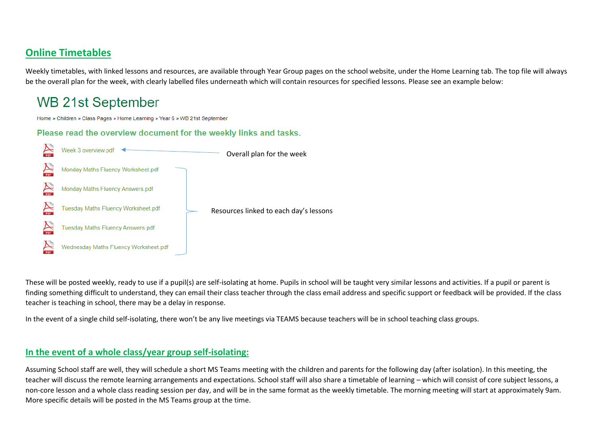## **Online Timetables**

Weekly timetables, with linked lessons and resources, are available through Year Group pages on the school website, under the Home Learning tab. The top file will always be the overall plan for the week, with clearly labelled files underneath which will contain resources for specified lessons. Please see an example below:

# **WB 21st September**

Home » Children » Class Pages » Home Learning » Year 6 » WB 21st September

Please read the overview document for the weekly links and tasks.



These will be posted weekly, ready to use if a pupil(s) are self-isolating at home. Pupils in school will be taught very similar lessons and activities. If a pupil or parent is finding something difficult to understand, they can email their class teacher through the class email address and specific support or feedback will be provided. If the class teacher is teaching in school, there may be a delay in response.

In the event of a single child self-isolating, there won't be any live meetings via TEAMS because teachers will be in school teaching class groups.

### **In the event of a whole class/year group self-isolating:**

Assuming School staff are well, they will schedule a short MS Teams meeting with the children and parents for the following day (after isolation). In this meeting, the teacher will discuss the remote learning arrangements and expectations. School staff will also share a timetable of learning – which will consist of core subject lessons, a non-core lesson and a whole class reading session per day, and will be in the same format as the weekly timetable. The morning meeting will start at approximately 9am. More specific details will be posted in the MS Teams group at the time.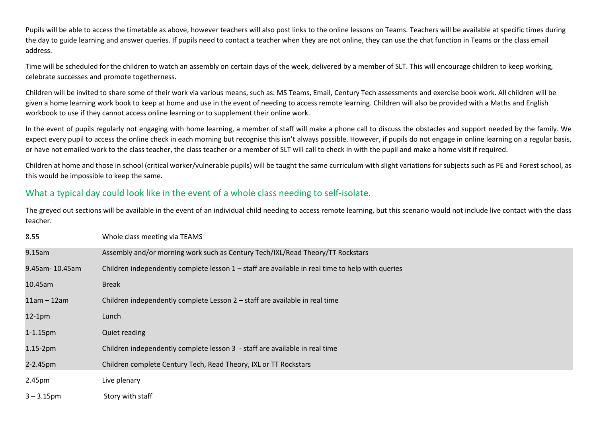Pupils will be able to access the timetable as above, however teachers will also post links to the online lessons on Teams. Teachers will be available at specific times during the day to guide learning and answer queries. If pupils need to contact a teacher when they are not online, they can use the chat function in Teams or the class email address.

Time will be scheduled for the children to watch an assembly on certain days of the week, delivered by a member of SLT. This will encourage children to keep working, celebrate successes and promote togetherness.

Children will be invited to share some of their work via various means, such as: MS Teams, Email, Century Tech assessments and exercise book work. All children will be given a home learning work book to keep at home and use in the event of needing to access remote learning. Children will also be provided with a Maths and English workbook to use if they cannot access online learning or to supplement their online work.

In the event of pupils regularly not engaging with home learning, a member of staff will make a phone call to discuss the obstacles and support needed by the family. We expect every pupil to access the online check in each morning but recognise this isn't always possible. However, if pupils do not engage in online learning on a regular basis, or have not emailed work to the class teacher, the class teacher or a member of SLT will call to check in with the pupil and make a home visit if required.

Children at home and those in school (critical worker/vulnerable pupils) will be taught the same curriculum with slight variations for subjects such as PE and Forest school, as this would be impossible to keep the same.

## What a typical day could look like in the event of a whole class needing to self-isolate.

The greyed out sections will be available in the event of an individual child needing to access remote learning, but this scenario would not include live contact with the class teacher.

| 8.55           | Whole class meeting via TEAMS                                                                      |
|----------------|----------------------------------------------------------------------------------------------------|
| 9.15am         | Assembly and/or morning work such as Century Tech/IXL/Read Theory/TT Rockstars                     |
| 9.45am-10.45am | Children independently complete lesson $1 -$ staff are available in real time to help with queries |
| 10.45am        | <b>Break</b>                                                                                       |
| $11am - 12am$  | Children independently complete Lesson 2 – staff are available in real time                        |
| $12-1pm$       | Lunch                                                                                              |
| $1 - 1.15$ pm  | Quiet reading                                                                                      |
| $1.15-2pm$     | Children independently complete lesson 3 - staff are available in real time                        |
| 2-2.45pm       | Children complete Century Tech, Read Theory, IXL or TT Rockstars                                   |
| 2.45pm         | Live plenary                                                                                       |
| $3 - 3.15$ pm  | Story with staff                                                                                   |